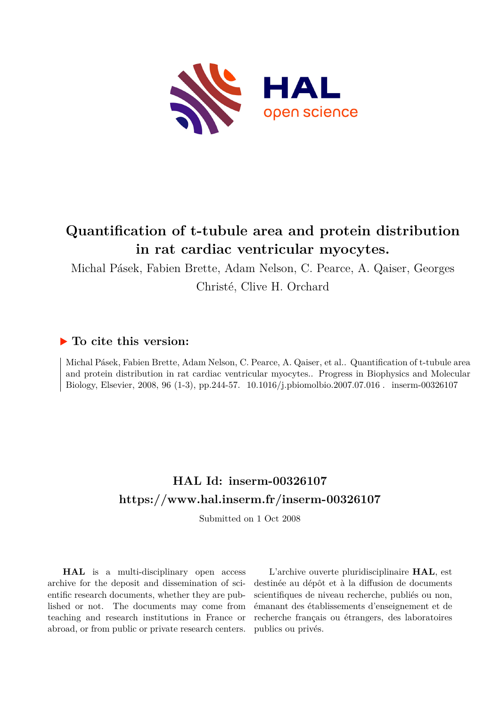

# **Quantification of t-tubule area and protein distribution in rat cardiac ventricular myocytes.**

Michal Pásek, Fabien Brette, Adam Nelson, C. Pearce, A. Qaiser, Georges

Christé, Clive H. Orchard

# **To cite this version:**

Michal Pásek, Fabien Brette, Adam Nelson, C. Pearce, A. Qaiser, et al.. Quantification of t-tubule area and protein distribution in rat cardiac ventricular myocytes.. Progress in Biophysics and Molecular Biology, Elsevier, 2008, 96 (1-3), pp.244-57. 10.1016/j.pbiomolbio.2007.07.016 . inserm-00326107

# **HAL Id: inserm-00326107 <https://www.hal.inserm.fr/inserm-00326107>**

Submitted on 1 Oct 2008

**HAL** is a multi-disciplinary open access archive for the deposit and dissemination of scientific research documents, whether they are published or not. The documents may come from teaching and research institutions in France or abroad, or from public or private research centers.

L'archive ouverte pluridisciplinaire **HAL**, est destinée au dépôt et à la diffusion de documents scientifiques de niveau recherche, publiés ou non, émanant des établissements d'enseignement et de recherche français ou étrangers, des laboratoires publics ou privés.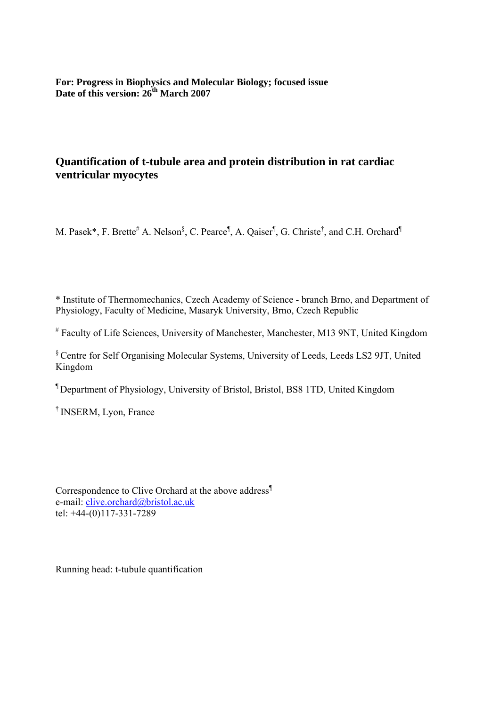**For: Progress in Biophysics and Molecular Biology; focused issue**  Date of this version: 26<sup>th</sup> March 2007

# **Quantification of t-tubule area and protein distribution in rat cardiac ventricular myocytes**

M. Pasek\*, F. Brette<sup>#</sup> A. Nelson<sup>§</sup>, C. Pearce<sup>¶</sup>, A. Qaiser<sup>¶</sup>, G. Christe<sup>†</sup>, and C.H. Orchard<sup>¶</sup>

\* Institute of Thermomechanics, Czech Academy of Science - branch Brno, and Department of Physiology, Faculty of Medicine, Masaryk University, Brno, Czech Republic

# Faculty of Life Sciences, University of Manchester, Manchester, M13 9NT, United Kingdom

§ Centre for Self Organising Molecular Systems, University of Leeds, Leeds LS2 9JT, United Kingdom

¶ Department of Physiology, University of Bristol, Bristol, BS8 1TD, United Kingdom

† INSERM, Lyon, France

Correspondence to Clive Orchard at the above address¶ e-mail: clive.orchard@bristol.ac.uk tel: +44-(0)117-331-7289

Running head: t-tubule quantification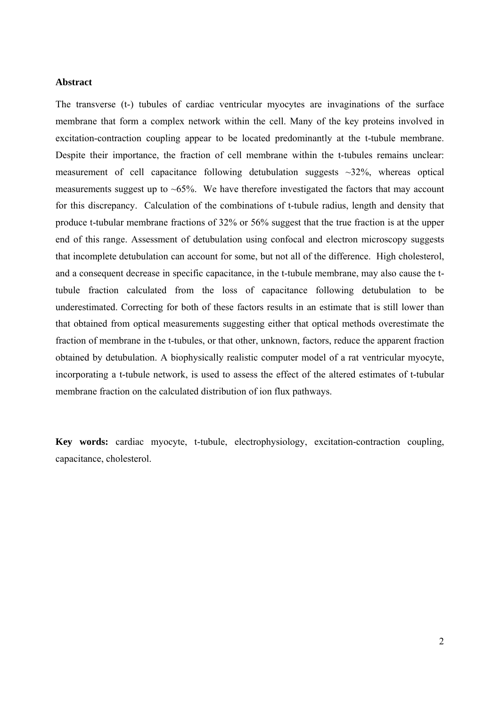#### **Abstract**

The transverse (t-) tubules of cardiac ventricular myocytes are invaginations of the surface membrane that form a complex network within the cell. Many of the key proteins involved in excitation-contraction coupling appear to be located predominantly at the t-tubule membrane. Despite their importance, the fraction of cell membrane within the t-tubules remains unclear: measurement of cell capacitance following detubulation suggests  $\sim$ 32%, whereas optical measurements suggest up to  $\sim 65\%$ . We have therefore investigated the factors that may account for this discrepancy. Calculation of the combinations of t-tubule radius, length and density that produce t-tubular membrane fractions of 32% or 56% suggest that the true fraction is at the upper end of this range. Assessment of detubulation using confocal and electron microscopy suggests that incomplete detubulation can account for some, but not all of the difference. High cholesterol, and a consequent decrease in specific capacitance, in the t-tubule membrane, may also cause the ttubule fraction calculated from the loss of capacitance following detubulation to be underestimated. Correcting for both of these factors results in an estimate that is still lower than that obtained from optical measurements suggesting either that optical methods overestimate the fraction of membrane in the t-tubules, or that other, unknown, factors, reduce the apparent fraction obtained by detubulation. A biophysically realistic computer model of a rat ventricular myocyte, incorporating a t-tubule network, is used to assess the effect of the altered estimates of t-tubular membrane fraction on the calculated distribution of ion flux pathways.

**Key words:** cardiac myocyte, t-tubule, electrophysiology, excitation-contraction coupling, capacitance, cholesterol.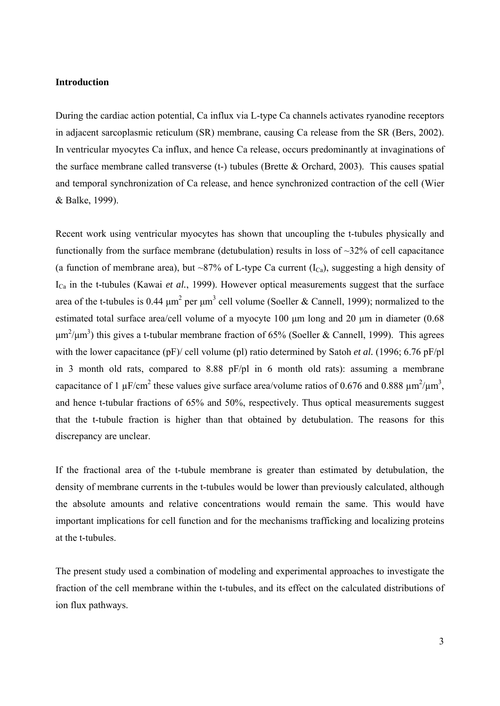#### **Introduction**

During the cardiac action potential, Ca influx via L-type Ca channels activates ryanodine receptors in adjacent sarcoplasmic reticulum (SR) membrane, causing Ca release from the SR (Bers, 2002). In ventricular myocytes Ca influx, and hence Ca release, occurs predominantly at invaginations of the surface membrane called transverse (t-) tubules (Brette  $&$  Orchard, 2003). This causes spatial and temporal synchronization of Ca release, and hence synchronized contraction of the cell (Wier & Balke, 1999).

Recent work using ventricular myocytes has shown that uncoupling the t-tubules physically and functionally from the surface membrane (detubulation) results in loss of  $\sim$ 32% of cell capacitance (a function of membrane area), but ~87% of L-type Ca current  $(I_{Ca})$ , suggesting a high density of I<sub>Ca</sub> in the t-tubules (Kawai *et al.*, 1999). However optical measurements suggest that the surface area of the t-tubules is 0.44  $\mu$ m<sup>2</sup> per  $\mu$ m<sup>3</sup> cell volume (Soeller & Cannell, 1999); normalized to the estimated total surface area/cell volume of a myocyte 100 μm long and 20 μm in diameter (0.68  $\mu$ m<sup>2</sup>/ $\mu$ m<sup>3</sup>) this gives a t-tubular membrane fraction of 65% (Soeller & Cannell, 1999). This agrees with the lower capacitance (pF)/ cell volume (pl) ratio determined by Satoh *et al.* (1996; 6.76 pF/pl in 3 month old rats, compared to 8.88 pF/pl in 6 month old rats): assuming a membrane capacitance of 1  $\mu$ F/cm<sup>2</sup> these values give surface area/volume ratios of 0.676 and 0.888  $\mu$ m<sup>2</sup>/ $\mu$ m<sup>3</sup>, and hence t-tubular fractions of 65% and 50%, respectively. Thus optical measurements suggest that the t-tubule fraction is higher than that obtained by detubulation. The reasons for this discrepancy are unclear.

If the fractional area of the t-tubule membrane is greater than estimated by detubulation, the density of membrane currents in the t-tubules would be lower than previously calculated, although the absolute amounts and relative concentrations would remain the same. This would have important implications for cell function and for the mechanisms trafficking and localizing proteins at the t-tubules.

The present study used a combination of modeling and experimental approaches to investigate the fraction of the cell membrane within the t-tubules, and its effect on the calculated distributions of ion flux pathways.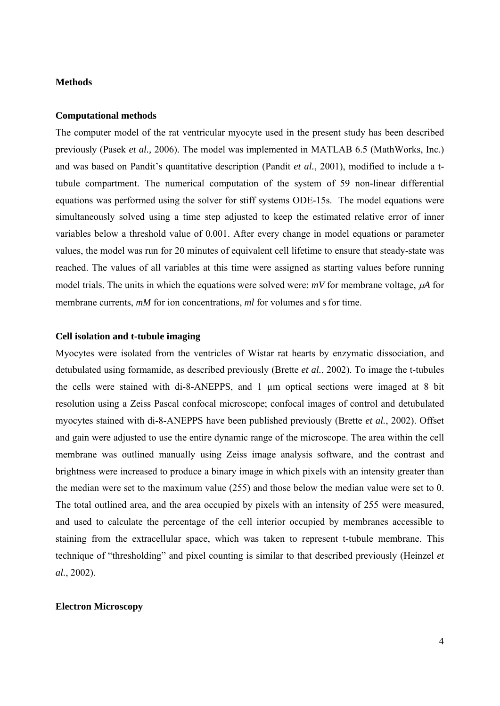#### **Methods**

#### **Computational methods**

The computer model of the rat ventricular myocyte used in the present study has been described previously (Pasek *et al.,* 2006). The model was implemented in MATLAB 6.5 (MathWorks, Inc.) and was based on Pandit's quantitative description (Pandit *et al.*, 2001), modified to include a ttubule compartment. The numerical computation of the system of 59 non-linear differential equations was performed using the solver for stiff systems ODE-15s. The model equations were simultaneously solved using a time step adjusted to keep the estimated relative error of inner variables below a threshold value of 0.001. After every change in model equations or parameter values, the model was run for 20 minutes of equivalent cell lifetime to ensure that steady-state was reached. The values of all variables at this time were assigned as starting values before running model trials. The units in which the equations were solved were: *mV* for membrane voltage, μ*A* for membrane currents, *mM* for ion concentrations, *ml* for volumes and *s* for time.

#### **Cell isolation and t-tubule imaging**

Myocytes were isolated from the ventricles of Wistar rat hearts by enzymatic dissociation, and detubulated using formamide, as described previously (Brette *et al.*, 2002). To image the t-tubules the cells were stained with di-8-ANEPPS, and 1 µm optical sections were imaged at 8 bit resolution using a Zeiss Pascal confocal microscope; confocal images of control and detubulated myocytes stained with di-8-ANEPPS have been published previously (Brette *et al.*, 2002). Offset and gain were adjusted to use the entire dynamic range of the microscope. The area within the cell membrane was outlined manually using Zeiss image analysis software, and the contrast and brightness were increased to produce a binary image in which pixels with an intensity greater than the median were set to the maximum value (255) and those below the median value were set to 0. The total outlined area, and the area occupied by pixels with an intensity of 255 were measured, and used to calculate the percentage of the cell interior occupied by membranes accessible to staining from the extracellular space, which was taken to represent t-tubule membrane. This technique of "thresholding" and pixel counting is similar to that described previously (Heinzel *et al.*, 2002).

### **Electron Microscopy**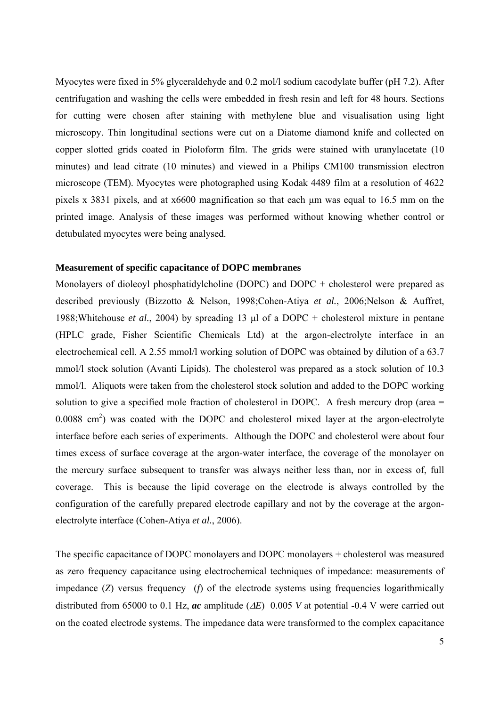Myocytes were fixed in 5% glyceraldehyde and 0.2 mol/l sodium cacodylate buffer (pH 7.2). After centrifugation and washing the cells were embedded in fresh resin and left for 48 hours. Sections for cutting were chosen after staining with methylene blue and visualisation using light microscopy. Thin longitudinal sections were cut on a Diatome diamond knife and collected on copper slotted grids coated in Pioloform film. The grids were stained with uranylacetate (10 minutes) and lead citrate (10 minutes) and viewed in a Philips CM100 transmission electron microscope (TEM). Myocytes were photographed using Kodak 4489 film at a resolution of 4622 pixels x 3831 pixels, and at x6600 magnification so that each μm was equal to 16.5 mm on the printed image. Analysis of these images was performed without knowing whether control or detubulated myocytes were being analysed.

#### **Measurement of specific capacitance of DOPC membranes**

Monolayers of dioleoyl phosphatidylcholine (DOPC) and DOPC + cholesterol were prepared as described previously (Bizzotto & Nelson, 1998;Cohen-Atiya *et al.*, 2006;Nelson & Auffret, 1988;Whitehouse *et al.*, 2004) by spreading 13 μl of a DOPC + cholesterol mixture in pentane (HPLC grade, Fisher Scientific Chemicals Ltd) at the argon-electrolyte interface in an electrochemical cell. A 2.55 mmol/l working solution of DOPC was obtained by dilution of a 63.7 mmol/l stock solution (Avanti Lipids). The cholesterol was prepared as a stock solution of 10.3 mmol/l. Aliquots were taken from the cholesterol stock solution and added to the DOPC working solution to give a specified mole fraction of cholesterol in DOPC. A fresh mercury drop (area =  $0.0088$  cm<sup>2</sup>) was coated with the DOPC and cholesterol mixed layer at the argon-electrolyte interface before each series of experiments. Although the DOPC and cholesterol were about four times excess of surface coverage at the argon-water interface, the coverage of the monolayer on the mercury surface subsequent to transfer was always neither less than, nor in excess of, full coverage. This is because the lipid coverage on the electrode is always controlled by the configuration of the carefully prepared electrode capillary and not by the coverage at the argonelectrolyte interface (Cohen-Atiya *et al.*, 2006).

The specific capacitance of DOPC monolayers and DOPC monolayers + cholesterol was measured as zero frequency capacitance using electrochemical techniques of impedance: measurements of impedance (*Z*) versus frequency (*f*) of the electrode systems using frequencies logarithmically distributed from 65000 to 0.1 Hz, *ac* amplitude (Δ*E*) 0.005 *V* at potential -0.4 V were carried out on the coated electrode systems. The impedance data were transformed to the complex capacitance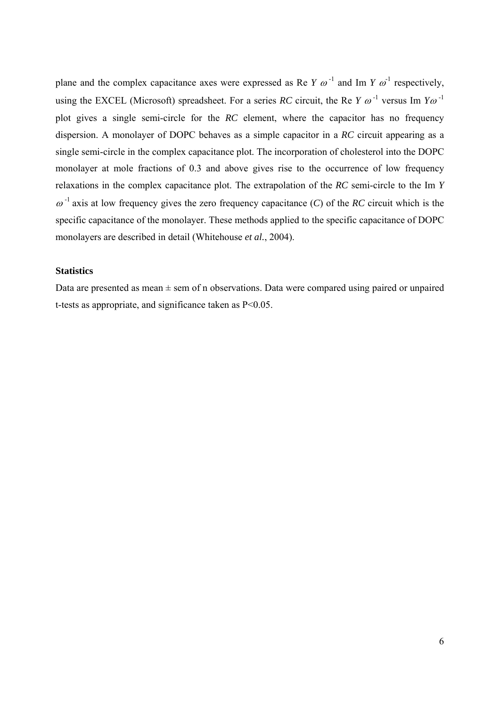plane and the complex capacitance axes were expressed as Re *Y*  $\omega^{-1}$  and Im *Y*  $\omega^{-1}$  respectively, using the EXCEL (Microsoft) spreadsheet. For a series *RC* circuit, the Re *Y*  $\omega^{-1}$  versus Im  $Y\omega^{-1}$ plot gives a single semi-circle for the *RC* element, where the capacitor has no frequency dispersion. A monolayer of DOPC behaves as a simple capacitor in a *RC* circuit appearing as a single semi-circle in the complex capacitance plot. The incorporation of cholesterol into the DOPC monolayer at mole fractions of 0.3 and above gives rise to the occurrence of low frequency relaxations in the complex capacitance plot. The extrapolation of the *RC* semi-circle to the Im *Y*  $\omega^{-1}$  axis at low frequency gives the zero frequency capacitance (*C*) of the *RC* circuit which is the specific capacitance of the monolayer. These methods applied to the specific capacitance of DOPC monolayers are described in detail (Whitehouse *et al.*, 2004).

### **Statistics**

Data are presented as mean  $\pm$  sem of n observations. Data were compared using paired or unpaired t-tests as appropriate, and significance taken as P<0.05.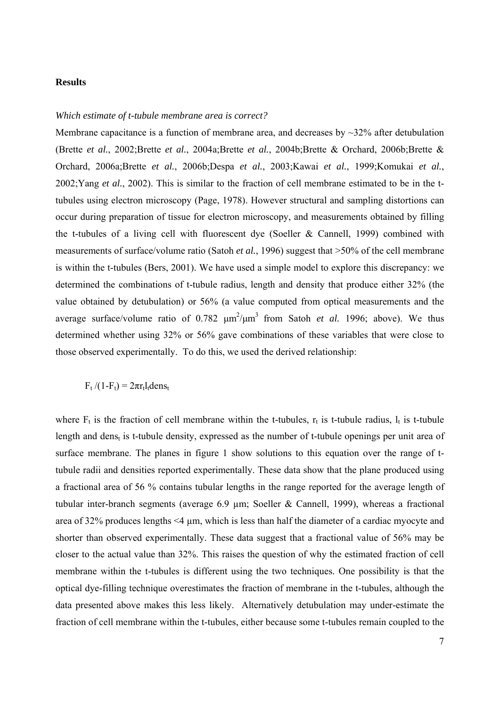#### **Results**

#### *Which estimate of t-tubule membrane area is correct?*

Membrane capacitance is a function of membrane area, and decreases by  $\sim$ 32% after detubulation (Brette *et al.*, 2002;Brette *et al.*, 2004a;Brette *et al.*, 2004b;Brette & Orchard, 2006b;Brette & Orchard, 2006a;Brette *et al.*, 2006b;Despa *et al.*, 2003;Kawai *et al.*, 1999;Komukai *et al.*, 2002;Yang *et al.*, 2002). This is similar to the fraction of cell membrane estimated to be in the ttubules using electron microscopy (Page, 1978). However structural and sampling distortions can occur during preparation of tissue for electron microscopy, and measurements obtained by filling the t-tubules of a living cell with fluorescent dye (Soeller & Cannell, 1999) combined with measurements of surface/volume ratio (Satoh *et al.*, 1996) suggest that >50% of the cell membrane is within the t-tubules (Bers, 2001). We have used a simple model to explore this discrepancy: we determined the combinations of t-tubule radius, length and density that produce either 32% (the value obtained by detubulation) or 56% (a value computed from optical measurements and the average surface/volume ratio of  $0.782 \mu m^2/\mu m^3$  from Satoh *et al.* 1996; above). We thus determined whether using 32% or 56% gave combinations of these variables that were close to those observed experimentally. To do this, we used the derived relationship:

 $F_t$  /(1- $F_t$ ) =  $2\pi r_t l_t$ dens<sub>t</sub>

where  $F_t$  is the fraction of cell membrane within the t-tubules,  $r_t$  is t-tubule radius,  $l_t$  is t-tubule length and dens<sub>t</sub> is t-tubule density, expressed as the number of t-tubule openings per unit area of surface membrane. The planes in figure 1 show solutions to this equation over the range of ttubule radii and densities reported experimentally. These data show that the plane produced using a fractional area of 56 % contains tubular lengths in the range reported for the average length of tubular inter-branch segments (average 6.9 µm; Soeller & Cannell, 1999), whereas a fractional area of 32% produces lengths <4 µm, which is less than half the diameter of a cardiac myocyte and shorter than observed experimentally. These data suggest that a fractional value of 56% may be closer to the actual value than 32%. This raises the question of why the estimated fraction of cell membrane within the t-tubules is different using the two techniques. One possibility is that the optical dye-filling technique overestimates the fraction of membrane in the t-tubules, although the data presented above makes this less likely. Alternatively detubulation may under-estimate the fraction of cell membrane within the t-tubules, either because some t-tubules remain coupled to the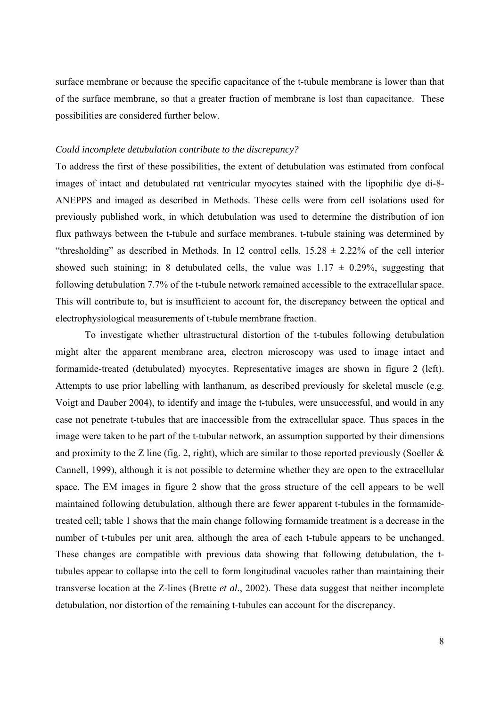surface membrane or because the specific capacitance of the t-tubule membrane is lower than that of the surface membrane, so that a greater fraction of membrane is lost than capacitance. These possibilities are considered further below.

#### *Could incomplete detubulation contribute to the discrepancy?*

To address the first of these possibilities, the extent of detubulation was estimated from confocal images of intact and detubulated rat ventricular myocytes stained with the lipophilic dye di-8- ANEPPS and imaged as described in Methods. These cells were from cell isolations used for previously published work, in which detubulation was used to determine the distribution of ion flux pathways between the t-tubule and surface membranes. t-tubule staining was determined by "thresholding" as described in Methods. In 12 control cells,  $15.28 \pm 2.22\%$  of the cell interior showed such staining; in 8 detubulated cells, the value was  $1.17 \pm 0.29\%$ , suggesting that following detubulation 7.7% of the t-tubule network remained accessible to the extracellular space. This will contribute to, but is insufficient to account for, the discrepancy between the optical and electrophysiological measurements of t-tubule membrane fraction.

To investigate whether ultrastructural distortion of the t-tubules following detubulation might alter the apparent membrane area, electron microscopy was used to image intact and formamide-treated (detubulated) myocytes. Representative images are shown in figure 2 (left). Attempts to use prior labelling with lanthanum, as described previously for skeletal muscle (e.g. Voigt and Dauber 2004), to identify and image the t-tubules, were unsuccessful, and would in any case not penetrate t-tubules that are inaccessible from the extracellular space. Thus spaces in the image were taken to be part of the t-tubular network, an assumption supported by their dimensions and proximity to the Z line (fig. 2, right), which are similar to those reported previously (Soeller  $\&$ Cannell, 1999), although it is not possible to determine whether they are open to the extracellular space. The EM images in figure 2 show that the gross structure of the cell appears to be well maintained following detubulation, although there are fewer apparent t-tubules in the formamidetreated cell; table 1 shows that the main change following formamide treatment is a decrease in the number of t-tubules per unit area, although the area of each t-tubule appears to be unchanged. These changes are compatible with previous data showing that following detubulation, the ttubules appear to collapse into the cell to form longitudinal vacuoles rather than maintaining their transverse location at the Z-lines (Brette *et al.*, 2002). These data suggest that neither incomplete detubulation, nor distortion of the remaining t-tubules can account for the discrepancy.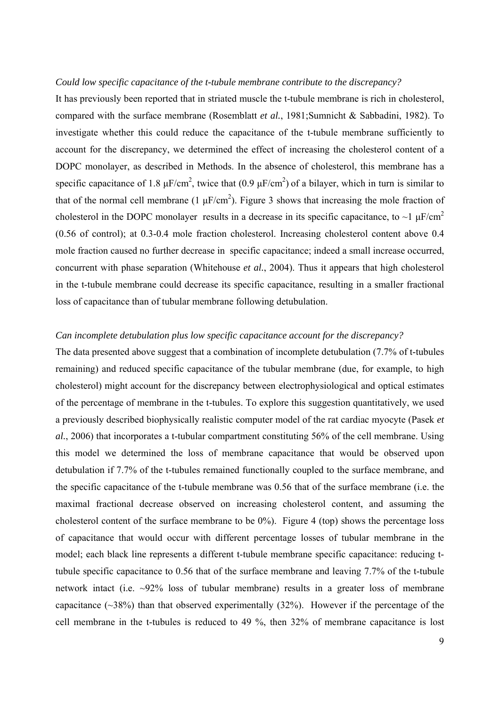#### *Could low specific capacitance of the t-tubule membrane contribute to the discrepancy?*

It has previously been reported that in striated muscle the t-tubule membrane is rich in cholesterol, compared with the surface membrane (Rosemblatt *et al.*, 1981;Sumnicht & Sabbadini, 1982). To investigate whether this could reduce the capacitance of the t-tubule membrane sufficiently to account for the discrepancy, we determined the effect of increasing the cholesterol content of a DOPC monolayer, as described in Methods. In the absence of cholesterol, this membrane has a specific capacitance of 1.8  $\mu$ F/cm<sup>2</sup>, twice that (0.9  $\mu$ F/cm<sup>2</sup>) of a bilayer, which in turn is similar to that of the normal cell membrane (1  $\mu$ F/cm<sup>2</sup>). Figure 3 shows that increasing the mole fraction of cholesterol in the DOPC monolayer results in a decrease in its specific capacitance, to  $\sim$ 1  $\mu$ F/cm<sup>2</sup> (0.56 of control); at 0.3-0.4 mole fraction cholesterol. Increasing cholesterol content above 0.4 mole fraction caused no further decrease in specific capacitance; indeed a small increase occurred, concurrent with phase separation (Whitehouse *et al.*, 2004). Thus it appears that high cholesterol in the t-tubule membrane could decrease its specific capacitance, resulting in a smaller fractional loss of capacitance than of tubular membrane following detubulation.

# *Can incomplete detubulation plus low specific capacitance account for the discrepancy?*

The data presented above suggest that a combination of incomplete detubulation (7.7% of t-tubules remaining) and reduced specific capacitance of the tubular membrane (due, for example, to high cholesterol) might account for the discrepancy between electrophysiological and optical estimates of the percentage of membrane in the t-tubules. To explore this suggestion quantitatively, we used a previously described biophysically realistic computer model of the rat cardiac myocyte (Pasek *et al.*, 2006) that incorporates a t-tubular compartment constituting 56% of the cell membrane. Using this model we determined the loss of membrane capacitance that would be observed upon detubulation if 7.7% of the t-tubules remained functionally coupled to the surface membrane, and the specific capacitance of the t-tubule membrane was 0.56 that of the surface membrane (i.e. the maximal fractional decrease observed on increasing cholesterol content, and assuming the cholesterol content of the surface membrane to be 0%). Figure 4 (top) shows the percentage loss of capacitance that would occur with different percentage losses of tubular membrane in the model; each black line represents a different t-tubule membrane specific capacitance: reducing ttubule specific capacitance to 0.56 that of the surface membrane and leaving 7.7% of the t-tubule network intact (i.e. ~92% loss of tubular membrane) results in a greater loss of membrane capacitance  $(\sim 38\%)$  than that observed experimentally  $(32\%)$ . However if the percentage of the cell membrane in the t-tubules is reduced to 49 %, then 32% of membrane capacitance is lost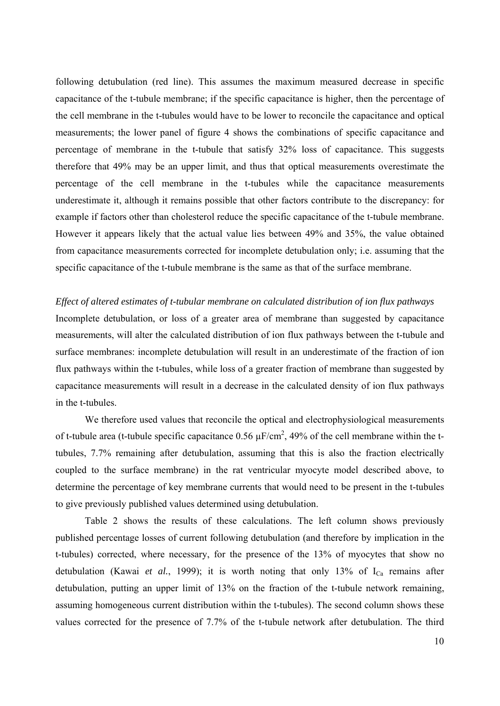following detubulation (red line). This assumes the maximum measured decrease in specific capacitance of the t-tubule membrane; if the specific capacitance is higher, then the percentage of the cell membrane in the t-tubules would have to be lower to reconcile the capacitance and optical measurements; the lower panel of figure 4 shows the combinations of specific capacitance and percentage of membrane in the t-tubule that satisfy 32% loss of capacitance. This suggests therefore that 49% may be an upper limit, and thus that optical measurements overestimate the percentage of the cell membrane in the t-tubules while the capacitance measurements underestimate it, although it remains possible that other factors contribute to the discrepancy: for example if factors other than cholesterol reduce the specific capacitance of the t-tubule membrane. However it appears likely that the actual value lies between 49% and 35%, the value obtained from capacitance measurements corrected for incomplete detubulation only; i.e. assuming that the specific capacitance of the t-tubule membrane is the same as that of the surface membrane.

*Effect of altered estimates of t-tubular membrane on calculated distribution of ion flux pathways*  Incomplete detubulation, or loss of a greater area of membrane than suggested by capacitance measurements, will alter the calculated distribution of ion flux pathways between the t-tubule and surface membranes: incomplete detubulation will result in an underestimate of the fraction of ion flux pathways within the t-tubules, while loss of a greater fraction of membrane than suggested by capacitance measurements will result in a decrease in the calculated density of ion flux pathways in the t-tubules.

We therefore used values that reconcile the optical and electrophysiological measurements of t-tubule area (t-tubule specific capacitance 0.56  $\mu$ F/cm<sup>2</sup>, 49% of the cell membrane within the ttubules, 7.7% remaining after detubulation, assuming that this is also the fraction electrically coupled to the surface membrane) in the rat ventricular myocyte model described above, to determine the percentage of key membrane currents that would need to be present in the t-tubules to give previously published values determined using detubulation.

Table 2 shows the results of these calculations. The left column shows previously published percentage losses of current following detubulation (and therefore by implication in the t-tubules) corrected, where necessary, for the presence of the 13% of myocytes that show no detubulation (Kawai *et al.*, 1999); it is worth noting that only 13% of  $I_{Ca}$  remains after detubulation, putting an upper limit of 13% on the fraction of the t-tubule network remaining, assuming homogeneous current distribution within the t-tubules). The second column shows these values corrected for the presence of 7.7% of the t-tubule network after detubulation. The third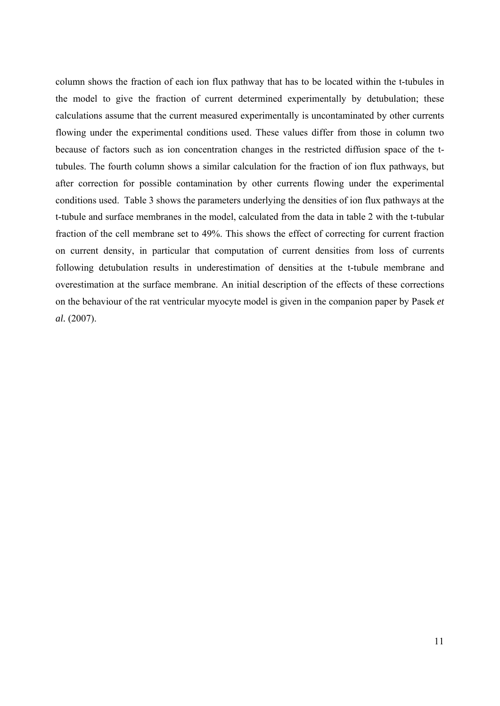column shows the fraction of each ion flux pathway that has to be located within the t-tubules in the model to give the fraction of current determined experimentally by detubulation; these calculations assume that the current measured experimentally is uncontaminated by other currents flowing under the experimental conditions used. These values differ from those in column two because of factors such as ion concentration changes in the restricted diffusion space of the ttubules. The fourth column shows a similar calculation for the fraction of ion flux pathways, but after correction for possible contamination by other currents flowing under the experimental conditions used. Table 3 shows the parameters underlying the densities of ion flux pathways at the t-tubule and surface membranes in the model, calculated from the data in table 2 with the t-tubular fraction of the cell membrane set to 49%. This shows the effect of correcting for current fraction on current density, in particular that computation of current densities from loss of currents following detubulation results in underestimation of densities at the t-tubule membrane and overestimation at the surface membrane. An initial description of the effects of these corrections on the behaviour of the rat ventricular myocyte model is given in the companion paper by Pasek *et al.* (2007).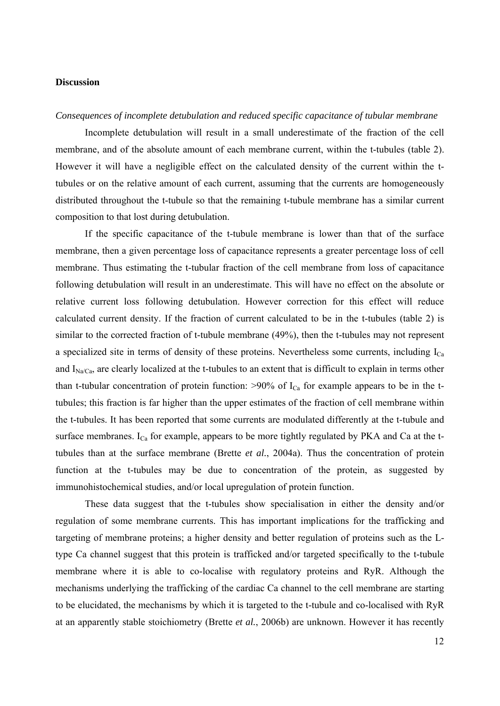#### **Discussion**

#### *Consequences of incomplete detubulation and reduced specific capacitance of tubular membrane*

Incomplete detubulation will result in a small underestimate of the fraction of the cell membrane, and of the absolute amount of each membrane current, within the t-tubules (table 2). However it will have a negligible effect on the calculated density of the current within the ttubules or on the relative amount of each current, assuming that the currents are homogeneously distributed throughout the t-tubule so that the remaining t-tubule membrane has a similar current composition to that lost during detubulation.

If the specific capacitance of the t-tubule membrane is lower than that of the surface membrane, then a given percentage loss of capacitance represents a greater percentage loss of cell membrane. Thus estimating the t-tubular fraction of the cell membrane from loss of capacitance following detubulation will result in an underestimate. This will have no effect on the absolute or relative current loss following detubulation. However correction for this effect will reduce calculated current density. If the fraction of current calculated to be in the t-tubules (table 2) is similar to the corrected fraction of t-tubule membrane (49%), then the t-tubules may not represent a specialized site in terms of density of these proteins. Nevertheless some currents, including I<sub>Ca</sub> and  $I_{\text{Na/Ca}}$ , are clearly localized at the t-tubules to an extent that is difficult to explain in terms other than t-tubular concentration of protein function:  $>90\%$  of  $I_{Ca}$  for example appears to be in the ttubules; this fraction is far higher than the upper estimates of the fraction of cell membrane within the t-tubules. It has been reported that some currents are modulated differently at the t-tubule and surface membranes.  $I_{Ca}$  for example, appears to be more tightly regulated by PKA and Ca at the ttubules than at the surface membrane (Brette *et al.*, 2004a). Thus the concentration of protein function at the t-tubules may be due to concentration of the protein, as suggested by immunohistochemical studies, and/or local upregulation of protein function.

These data suggest that the t-tubules show specialisation in either the density and/or regulation of some membrane currents. This has important implications for the trafficking and targeting of membrane proteins; a higher density and better regulation of proteins such as the Ltype Ca channel suggest that this protein is trafficked and/or targeted specifically to the t-tubule membrane where it is able to co-localise with regulatory proteins and RyR. Although the mechanisms underlying the trafficking of the cardiac Ca channel to the cell membrane are starting to be elucidated, the mechanisms by which it is targeted to the t-tubule and co-localised with RyR at an apparently stable stoichiometry (Brette *et al.*, 2006b) are unknown. However it has recently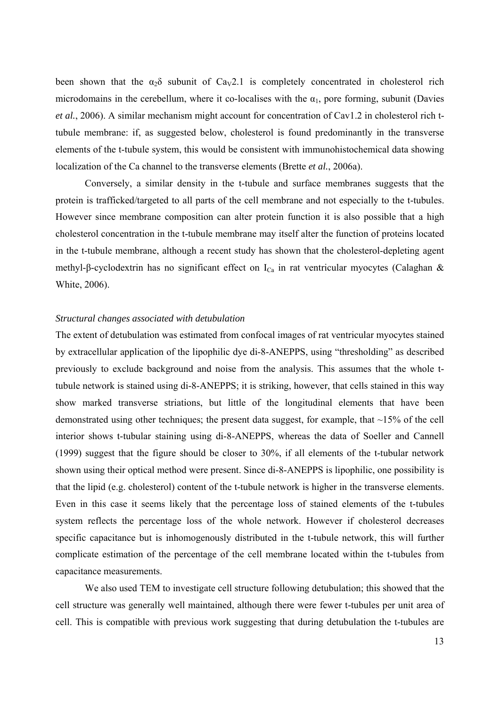been shown that the  $\alpha_2\delta$  subunit of Ca<sub>V</sub>2.1 is completely concentrated in cholesterol rich microdomains in the cerebellum, where it co-localises with the  $\alpha_1$ , pore forming, subunit (Davies *et al.*, 2006). A similar mechanism might account for concentration of Cav1.2 in cholesterol rich ttubule membrane: if, as suggested below, cholesterol is found predominantly in the transverse elements of the t-tubule system, this would be consistent with immunohistochemical data showing localization of the Ca channel to the transverse elements (Brette *et al.*, 2006a).

Conversely, a similar density in the t-tubule and surface membranes suggests that the protein is trafficked/targeted to all parts of the cell membrane and not especially to the t-tubules. However since membrane composition can alter protein function it is also possible that a high cholesterol concentration in the t-tubule membrane may itself alter the function of proteins located in the t-tubule membrane, although a recent study has shown that the cholesterol-depleting agent methyl-β-cyclodextrin has no significant effect on I<sub>Ca</sub> in rat ventricular myocytes (Calaghan & White, 2006).

### *Structural changes associated with detubulation*

The extent of detubulation was estimated from confocal images of rat ventricular myocytes stained by extracellular application of the lipophilic dye di-8-ANEPPS, using "thresholding" as described previously to exclude background and noise from the analysis. This assumes that the whole ttubule network is stained using di-8-ANEPPS; it is striking, however, that cells stained in this way show marked transverse striations, but little of the longitudinal elements that have been demonstrated using other techniques; the present data suggest, for example, that ~15% of the cell interior shows t-tubular staining using di-8-ANEPPS, whereas the data of Soeller and Cannell (1999) suggest that the figure should be closer to 30%, if all elements of the t-tubular network shown using their optical method were present. Since di-8-ANEPPS is lipophilic, one possibility is that the lipid (e.g. cholesterol) content of the t-tubule network is higher in the transverse elements. Even in this case it seems likely that the percentage loss of stained elements of the t-tubules system reflects the percentage loss of the whole network. However if cholesterol decreases specific capacitance but is inhomogenously distributed in the t-tubule network, this will further complicate estimation of the percentage of the cell membrane located within the t-tubules from capacitance measurements.

We also used TEM to investigate cell structure following detubulation; this showed that the cell structure was generally well maintained, although there were fewer t-tubules per unit area of cell. This is compatible with previous work suggesting that during detubulation the t-tubules are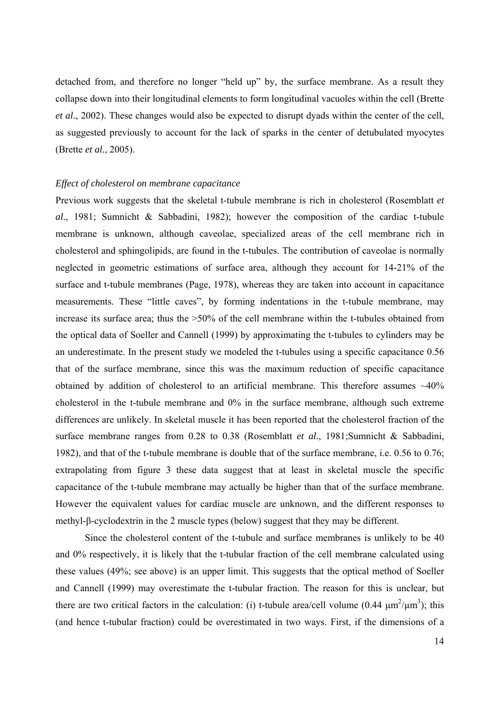detached from, and therefore no longer "held up" by, the surface membrane. As a result they collapse down into their longitudinal elements to form longitudinal vacuoles within the cell (Brette *et al.*, 2002). These changes would also be expected to disrupt dyads within the center of the cell, as suggested previously to account for the lack of sparks in the center of detubulated myocytes (Brette *et al.*, 2005).

#### *Effect of cholesterol on membrane capacitance*

Previous work suggests that the skeletal t-tubule membrane is rich in cholesterol (Rosemblatt *et al.*, 1981; Sumnicht & Sabbadini, 1982); however the composition of the cardiac t-tubule membrane is unknown, although caveolae, specialized areas of the cell membrane rich in cholesterol and sphingolipids, are found in the t-tubules. The contribution of caveolae is normally neglected in geometric estimations of surface area, although they account for 14-21% of the surface and t-tubule membranes (Page, 1978), whereas they are taken into account in capacitance measurements. These "little caves", by forming indentations in the t-tubule membrane, may increase its surface area; thus the >50% of the cell membrane within the t-tubules obtained from the optical data of Soeller and Cannell (1999) by approximating the t-tubules to cylinders may be an underestimate. In the present study we modeled the t-tubules using a specific capacitance 0.56 that of the surface membrane, since this was the maximum reduction of specific capacitance obtained by addition of cholesterol to an artificial membrane. This therefore assumes  $~40\%$ cholesterol in the t-tubule membrane and 0% in the surface membrane, although such extreme differences are unlikely. In skeletal muscle it has been reported that the cholesterol fraction of the surface membrane ranges from 0.28 to 0.38 (Rosemblatt *et al.*, 1981; Sumnicht & Sabbadini, 1982), and that of the t-tubule membrane is double that of the surface membrane, i.e. 0.56 to 0.76; extrapolating from figure 3 these data suggest that at least in skeletal muscle the specific capacitance of the t-tubule membrane may actually be higher than that of the surface membrane. However the equivalent values for cardiac muscle are unknown, and the different responses to methyl-β-cyclodextrin in the 2 muscle types (below) suggest that they may be different.

 Since the cholesterol content of the t-tubule and surface membranes is unlikely to be 40 and 0% respectively, it is likely that the t-tubular fraction of the cell membrane calculated using these values (49%; see above) is an upper limit. This suggests that the optical method of Soeller and Cannell (1999) may overestimate the t-tubular fraction. The reason for this is unclear, but there are two critical factors in the calculation: (i) t-tubule area/cell volume (0.44  $\mu$ m<sup>2</sup>/ $\mu$ m<sup>3</sup>); this (and hence t-tubular fraction) could be overestimated in two ways. First, if the dimensions of a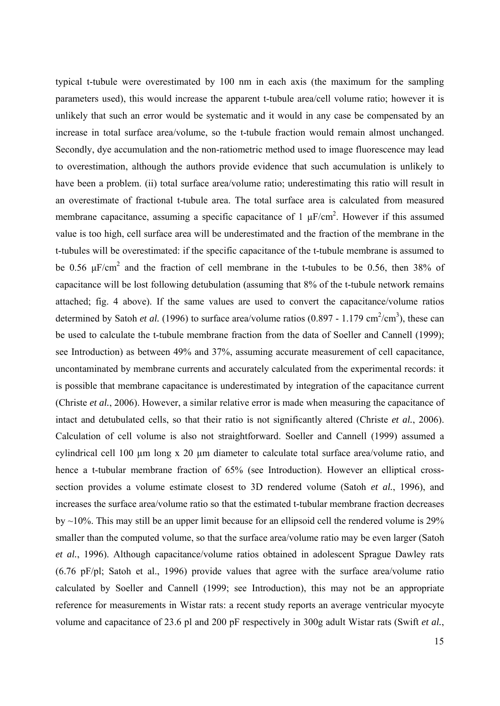typical t-tubule were overestimated by 100 nm in each axis (the maximum for the sampling parameters used), this would increase the apparent t-tubule area/cell volume ratio; however it is unlikely that such an error would be systematic and it would in any case be compensated by an increase in total surface area/volume, so the t-tubule fraction would remain almost unchanged. Secondly, dye accumulation and the non-ratiometric method used to image fluorescence may lead to overestimation, although the authors provide evidence that such accumulation is unlikely to have been a problem. (ii) total surface area/volume ratio; underestimating this ratio will result in an overestimate of fractional t-tubule area. The total surface area is calculated from measured membrane capacitance, assuming a specific capacitance of 1  $\mu$ F/cm<sup>2</sup>. However if this assumed value is too high, cell surface area will be underestimated and the fraction of the membrane in the t-tubules will be overestimated: if the specific capacitance of the t-tubule membrane is assumed to be 0.56  $\mu$ F/cm<sup>2</sup> and the fraction of cell membrane in the t-tubules to be 0.56, then 38% of capacitance will be lost following detubulation (assuming that 8% of the t-tubule network remains attached; fig. 4 above). If the same values are used to convert the capacitance/volume ratios determined by Satoh *et al.* (1996) to surface area/volume ratios (0.897 - 1.179 cm<sup>2</sup>/cm<sup>3</sup>), these can be used to calculate the t-tubule membrane fraction from the data of Soeller and Cannell (1999); see Introduction) as between 49% and 37%, assuming accurate measurement of cell capacitance, uncontaminated by membrane currents and accurately calculated from the experimental records: it is possible that membrane capacitance is underestimated by integration of the capacitance current (Christe *et al.*, 2006). However, a similar relative error is made when measuring the capacitance of intact and detubulated cells, so that their ratio is not significantly altered (Christe *et al.*, 2006). Calculation of cell volume is also not straightforward. Soeller and Cannell (1999) assumed a cylindrical cell 100 µm long x 20 µm diameter to calculate total surface area/volume ratio, and hence a t-tubular membrane fraction of 65% (see Introduction). However an elliptical crosssection provides a volume estimate closest to 3D rendered volume (Satoh *et al.*, 1996), and increases the surface area/volume ratio so that the estimated t-tubular membrane fraction decreases by  $\sim$ 10%. This may still be an upper limit because for an ellipsoid cell the rendered volume is 29% smaller than the computed volume, so that the surface area/volume ratio may be even larger (Satoh *et al.*, 1996). Although capacitance/volume ratios obtained in adolescent Sprague Dawley rats (6.76 pF/pl; Satoh et al., 1996) provide values that agree with the surface area/volume ratio calculated by Soeller and Cannell (1999; see Introduction), this may not be an appropriate reference for measurements in Wistar rats: a recent study reports an average ventricular myocyte volume and capacitance of 23.6 pl and 200 pF respectively in 300g adult Wistar rats (Swift *et al.*,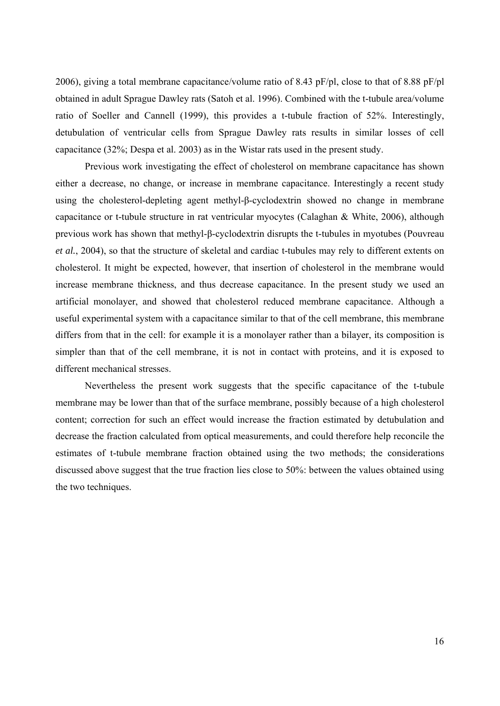2006), giving a total membrane capacitance/volume ratio of 8.43 pF/pl, close to that of 8.88 pF/pl obtained in adult Sprague Dawley rats (Satoh et al. 1996). Combined with the t-tubule area/volume ratio of Soeller and Cannell (1999), this provides a t-tubule fraction of 52%. Interestingly, detubulation of ventricular cells from Sprague Dawley rats results in similar losses of cell capacitance (32%; Despa et al. 2003) as in the Wistar rats used in the present study.

Previous work investigating the effect of cholesterol on membrane capacitance has shown either a decrease, no change, or increase in membrane capacitance. Interestingly a recent study using the cholesterol-depleting agent methyl-β-cyclodextrin showed no change in membrane capacitance or t-tubule structure in rat ventricular myocytes (Calaghan & White, 2006), although previous work has shown that methyl-β-cyclodextrin disrupts the t-tubules in myotubes (Pouvreau *et al.*, 2004), so that the structure of skeletal and cardiac t-tubules may rely to different extents on cholesterol. It might be expected, however, that insertion of cholesterol in the membrane would increase membrane thickness, and thus decrease capacitance. In the present study we used an artificial monolayer, and showed that cholesterol reduced membrane capacitance. Although a useful experimental system with a capacitance similar to that of the cell membrane, this membrane differs from that in the cell: for example it is a monolayer rather than a bilayer, its composition is simpler than that of the cell membrane, it is not in contact with proteins, and it is exposed to different mechanical stresses.

Nevertheless the present work suggests that the specific capacitance of the t-tubule membrane may be lower than that of the surface membrane, possibly because of a high cholesterol content; correction for such an effect would increase the fraction estimated by detubulation and decrease the fraction calculated from optical measurements, and could therefore help reconcile the estimates of t-tubule membrane fraction obtained using the two methods; the considerations discussed above suggest that the true fraction lies close to 50%: between the values obtained using the two techniques.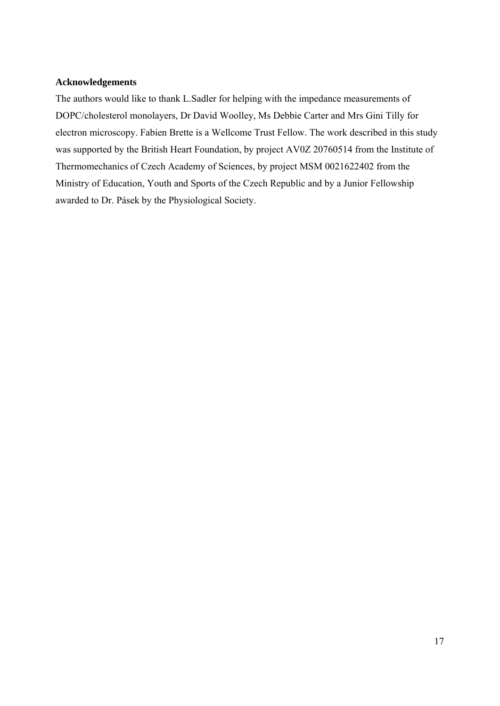## **Acknowledgements**

The authors would like to thank L.Sadler for helping with the impedance measurements of DOPC/cholesterol monolayers, Dr David Woolley, Ms Debbie Carter and Mrs Gini Tilly for electron microscopy. Fabien Brette is a Wellcome Trust Fellow. The work described in this study was supported by the British Heart Foundation, by project AV0Z 20760514 from the Institute of Thermomechanics of Czech Academy of Sciences, by project MSM 0021622402 from the Ministry of Education, Youth and Sports of the Czech Republic and by a Junior Fellowship awarded to Dr. Pásek by the Physiological Society.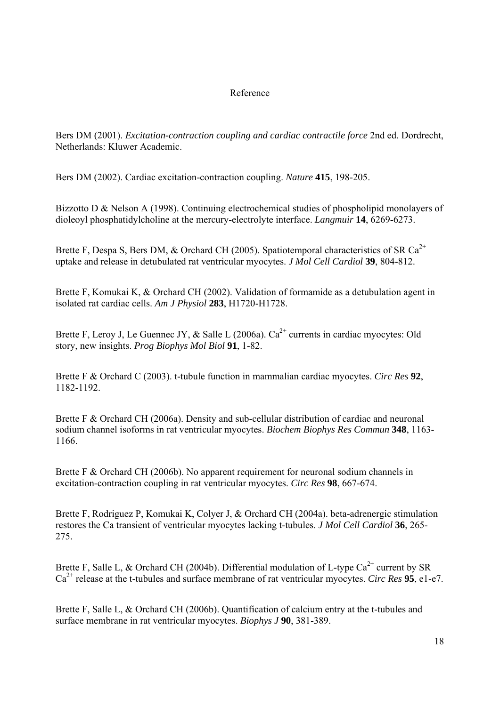# Reference

Bers DM (2001). *Excitation-contraction coupling and cardiac contractile force* 2nd ed. Dordrecht, Netherlands: Kluwer Academic.

Bers DM (2002). Cardiac excitation-contraction coupling. *Nature* **415**, 198-205.

Bizzotto D & Nelson A (1998). Continuing electrochemical studies of phospholipid monolayers of dioleoyl phosphatidylcholine at the mercury-electrolyte interface. *Langmuir* **14**, 6269-6273.

Brette F, Despa S, Bers DM, & Orchard CH (2005). Spatiotemporal characteristics of SR Ca<sup>2+</sup> uptake and release in detubulated rat ventricular myocytes. *J Mol Cell Cardiol* **39**, 804-812.

Brette F, Komukai K, & Orchard CH (2002). Validation of formamide as a detubulation agent in isolated rat cardiac cells. *Am J Physiol* **283**, H1720-H1728.

Brette F, Leroy J, Le Guennec JY, & Salle L (2006a).  $Ca^{2+}$  currents in cardiac myocytes: Old story, new insights. *Prog Biophys Mol Biol* **91**, 1-82.

Brette F & Orchard C (2003). t-tubule function in mammalian cardiac myocytes. *Circ Res* **92**, 1182-1192.

Brette F & Orchard CH (2006a). Density and sub-cellular distribution of cardiac and neuronal sodium channel isoforms in rat ventricular myocytes. *Biochem Biophys Res Commun* **348**, 1163- 1166.

Brette F & Orchard CH (2006b). No apparent requirement for neuronal sodium channels in excitation-contraction coupling in rat ventricular myocytes. *Circ Res* **98**, 667-674.

Brette F, Rodriguez P, Komukai K, Colyer J, & Orchard CH (2004a). beta-adrenergic stimulation restores the Ca transient of ventricular myocytes lacking t-tubules. *J Mol Cell Cardiol* **36**, 265- 275.

Brette F, Salle L, & Orchard CH (2004b). Differential modulation of L-type  $Ca^{2+}$  current by SR Ca2+ release at the t-tubules and surface membrane of rat ventricular myocytes. *Circ Res* **95**, e1-e7.

Brette F, Salle L, & Orchard CH (2006b). Quantification of calcium entry at the t-tubules and surface membrane in rat ventricular myocytes. *Biophys J* **90**, 381-389.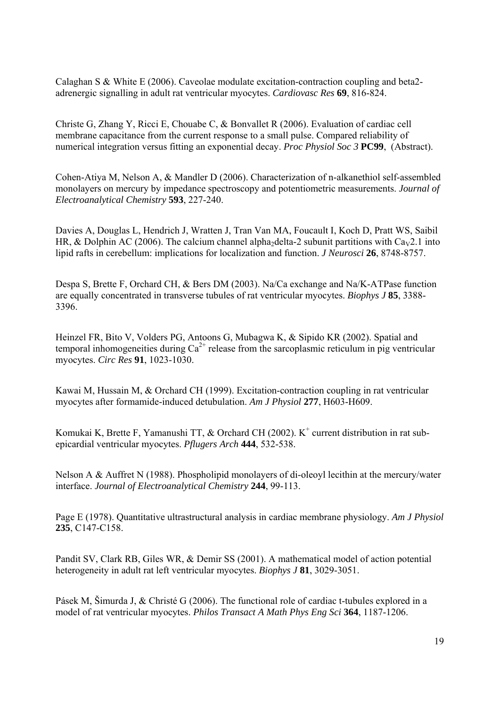Calaghan S & White E (2006). Caveolae modulate excitation-contraction coupling and beta2 adrenergic signalling in adult rat ventricular myocytes. *Cardiovasc Res* **69**, 816-824.

Christe G, Zhang Y, Ricci E, Chouabe C, & Bonvallet R (2006). Evaluation of cardiac cell membrane capacitance from the current response to a small pulse. Compared reliability of numerical integration versus fitting an exponential decay. *Proc Physiol Soc 3* **PC99**, (Abstract).

Cohen-Atiya M, Nelson A, & Mandler D (2006). Characterization of n-alkanethiol self-assembled monolayers on mercury by impedance spectroscopy and potentiometric measurements. *Journal of Electroanalytical Chemistry* **593**, 227-240.

Davies A, Douglas L, Hendrich J, Wratten J, Tran Van MA, Foucault I, Koch D, Pratt WS, Saibil HR, & Dolphin AC (2006). The calcium channel alpha<sub>2delta-2</sub> subunit partitions with Ca<sub>V</sub>2.1 into lipid rafts in cerebellum: implications for localization and function. *J Neurosci* **26**, 8748-8757.

Despa S, Brette F, Orchard CH, & Bers DM (2003). Na/Ca exchange and Na/K-ATPase function are equally concentrated in transverse tubules of rat ventricular myocytes. *Biophys J* **85**, 3388- 3396.

Heinzel FR, Bito V, Volders PG, Antoons G, Mubagwa K, & Sipido KR (2002). Spatial and temporal inhomogeneities during  $Ca^{2+}$  release from the sarcoplasmic reticulum in pig ventricular myocytes. *Circ Res* **91**, 1023-1030.

Kawai M, Hussain M, & Orchard CH (1999). Excitation-contraction coupling in rat ventricular myocytes after formamide-induced detubulation. *Am J Physiol* **277**, H603-H609.

Komukai K, Brette F, Yamanushi TT,  $\&$  Orchard CH (2002). K<sup>+</sup> current distribution in rat subepicardial ventricular myocytes. *Pflugers Arch* **444**, 532-538.

Nelson A & Auffret N (1988). Phospholipid monolayers of di-oleoyl lecithin at the mercury/water interface. *Journal of Electroanalytical Chemistry* **244**, 99-113.

Page E (1978). Quantitative ultrastructural analysis in cardiac membrane physiology. *Am J Physiol* **235**, C147-C158.

Pandit SV, Clark RB, Giles WR, & Demir SS (2001). A mathematical model of action potential heterogeneity in adult rat left ventricular myocytes. *Biophys J* **81**, 3029-3051.

Pásek M, Šimurda J, & Christé G (2006). The functional role of cardiac t-tubules explored in a model of rat ventricular myocytes. *Philos Transact A Math Phys Eng Sci* **364**, 1187-1206.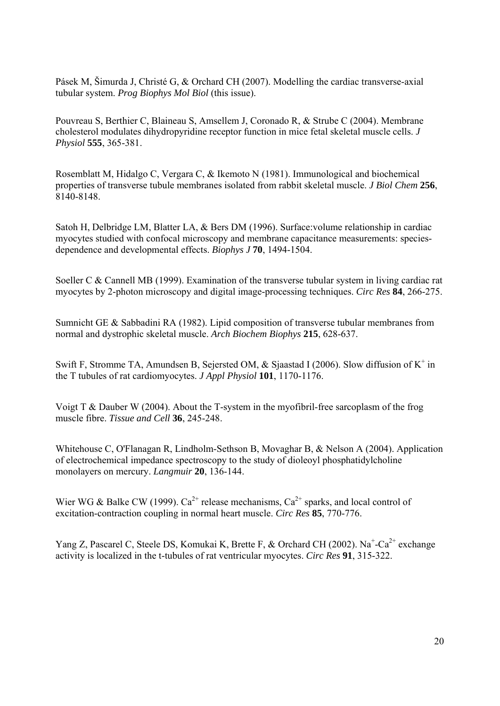Pásek M, Šimurda J, Christé G, & Orchard CH (2007). Modelling the cardiac transverse-axial tubular system. *Prog Biophys Mol Biol* (this issue).

Pouvreau S, Berthier C, Blaineau S, Amsellem J, Coronado R, & Strube C (2004). Membrane cholesterol modulates dihydropyridine receptor function in mice fetal skeletal muscle cells. *J Physiol* **555**, 365-381.

Rosemblatt M, Hidalgo C, Vergara C, & Ikemoto N (1981). Immunological and biochemical properties of transverse tubule membranes isolated from rabbit skeletal muscle. *J Biol Chem* **256**, 8140-8148.

Satoh H, Delbridge LM, Blatter LA, & Bers DM (1996). Surface:volume relationship in cardiac myocytes studied with confocal microscopy and membrane capacitance measurements: speciesdependence and developmental effects. *Biophys J* **70**, 1494-1504.

Soeller C & Cannell MB (1999). Examination of the transverse tubular system in living cardiac rat myocytes by 2-photon microscopy and digital image-processing techniques. *Circ Res* **84**, 266-275.

Sumnicht GE & Sabbadini RA (1982). Lipid composition of transverse tubular membranes from normal and dystrophic skeletal muscle. *Arch Biochem Biophys* **215**, 628-637.

Swift F, Stromme TA, Amundsen B, Sejersted OM,  $\&$  Sjaastad I (2006). Slow diffusion of K<sup>+</sup> in the T tubules of rat cardiomyocytes. *J Appl Physiol* **101**, 1170-1176.

Voigt T & Dauber W (2004). About the T-system in the myofibril-free sarcoplasm of the frog muscle fibre. *Tissue and Cell* **36**, 245-248.

Whitehouse C, O'Flanagan R, Lindholm-Sethson B, Movaghar B, & Nelson A (2004). Application of electrochemical impedance spectroscopy to the study of dioleoyl phosphatidylcholine monolayers on mercury. *Langmuir* **20**, 136-144.

Wier WG & Balke CW (1999).  $Ca^{2+}$  release mechanisms,  $Ca^{2+}$  sparks, and local control of excitation-contraction coupling in normal heart muscle. *Circ Res* **85**, 770-776.

Yang Z, Pascarel C, Steele DS, Komukai K, Brette F, & Orchard CH (2002). Na<sup>+</sup>-Ca<sup>2+</sup> exchange activity is localized in the t-tubules of rat ventricular myocytes. *Circ Res* **91**, 315-322.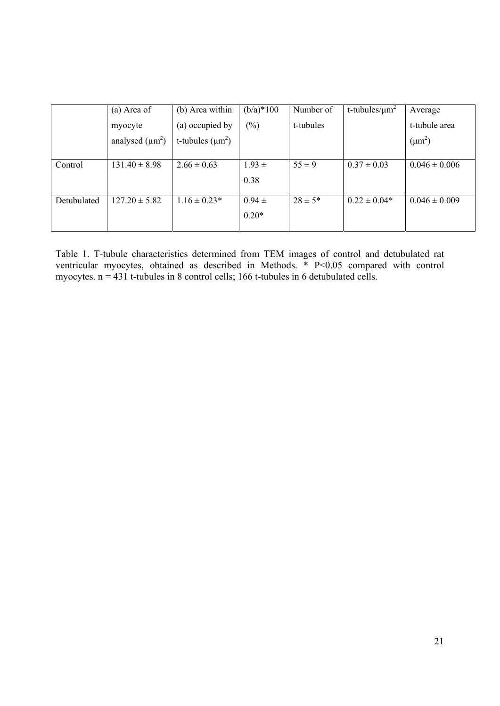|             | (a) Area of          | (b) Area within       | $(b/a)*100$    | Number of   | t-tubules/ $\mu$ m <sup>2</sup> | Average           |
|-------------|----------------------|-----------------------|----------------|-------------|---------------------------------|-------------------|
|             | myocyte              | (a) occupied by       | $\binom{0}{0}$ | t-tubules   |                                 | t-tubule area     |
|             | analysed $(\mu m^2)$ | t-tubules $(\mu m^2)$ |                |             |                                 | $(\mu m^2)$       |
|             |                      |                       |                |             |                                 |                   |
| Control     | $131.40 \pm 8.98$    | $2.66 \pm 0.63$       | $1.93 \pm$     | $55 \pm 9$  | $0.37 \pm 0.03$                 | $0.046 \pm 0.006$ |
|             |                      |                       | 0.38           |             |                                 |                   |
|             |                      |                       |                |             |                                 |                   |
| Detubulated | $127.20 \pm 5.82$    | $1.16 \pm 0.23*$      | $0.94 \pm$     | $28 \pm 5*$ | $0.22 \pm 0.04*$                | $0.046 \pm 0.009$ |
|             |                      |                       | $0.20*$        |             |                                 |                   |
|             |                      |                       |                |             |                                 |                   |

Table 1. T-tubule characteristics determined from TEM images of control and detubulated rat ventricular myocytes, obtained as described in Methods. \* P<0.05 compared with control myocytes. n = 431 t-tubules in 8 control cells; 166 t-tubules in 6 detubulated cells.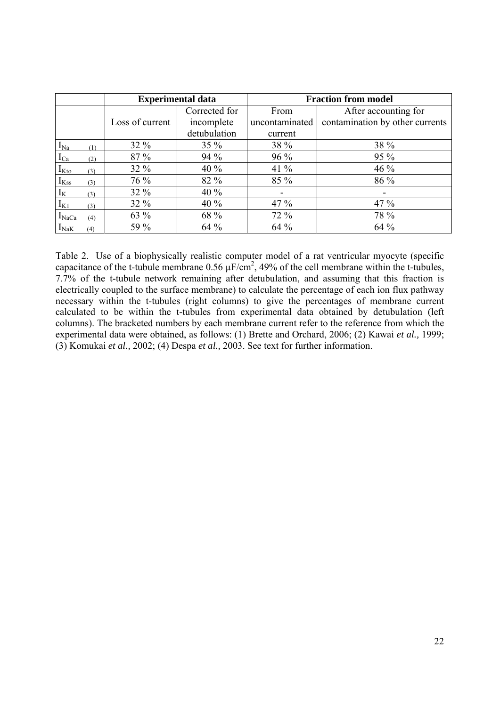|                   |     |                 | <b>Experimental data</b> | <b>Fraction from model</b> |                                 |  |
|-------------------|-----|-----------------|--------------------------|----------------------------|---------------------------------|--|
|                   |     |                 | Corrected for            | From                       | After accounting for            |  |
|                   |     | Loss of current | incomplete               | uncontaminated             | contamination by other currents |  |
|                   |     |                 | detubulation             | current                    |                                 |  |
| $I_{Na}$          | (1) | $32\%$          | $35\%$                   | 38 %                       | 38 %                            |  |
| $I_{Ca}$          | (2) | 87 %            | 94 %                     | $96\%$                     | 95 %                            |  |
| $I_{\rm Kto}$     | (3) | 32 %            | 40 %                     | 41 $%$                     | 46 %                            |  |
| $I_{Kss}$         | (3) | 76 %            | 82 %                     | 85 %                       | 86 %                            |  |
| $I_{K}$           | (3) | 32 %            | 40 %                     |                            |                                 |  |
| $I_{K1}$          | (3) | 32 %            | 40 %                     | $47\%$                     | $47\%$                          |  |
| I <sub>NaCa</sub> | (4) | 63 %            | 68 %                     | $72\%$                     | 78 %                            |  |
| $I_{\text{NaK}}$  | (4) | 59 %            | 64 %                     | 64 %                       | 64 %                            |  |

Table 2. Use of a biophysically realistic computer model of a rat ventricular myocyte (specific capacitance of the t-tubule membrane  $0.56 \mu\text{F/cm}^2$ , 49% of the cell membrane within the t-tubules, 7.7% of the t-tubule network remaining after detubulation, and assuming that this fraction is electrically coupled to the surface membrane) to calculate the percentage of each ion flux pathway necessary within the t-tubules (right columns) to give the percentages of membrane current calculated to be within the t-tubules from experimental data obtained by detubulation (left columns). The bracketed numbers by each membrane current refer to the reference from which the experimental data were obtained, as follows: (1) Brette and Orchard, 2006; (2) Kawai *et al.,* 1999; (3) Komukai *et al.,* 2002; (4) Despa *et al.,* 2003. See text for further information.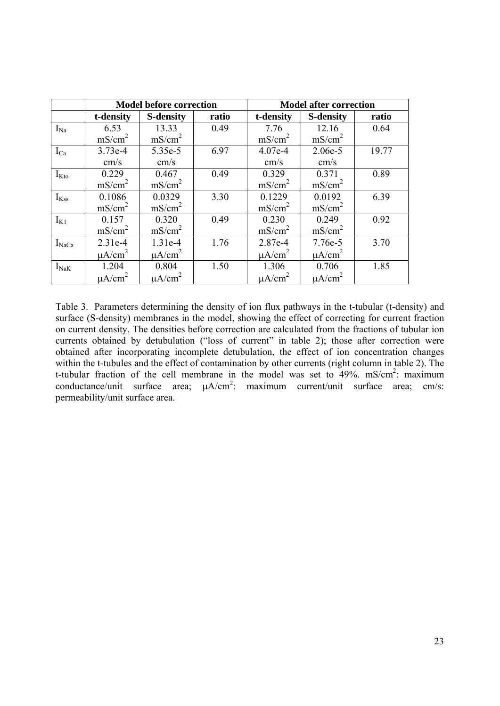|                  |                    | <b>Model before correction</b> |       | <b>Model after correction</b> |                    |       |
|------------------|--------------------|--------------------------------|-------|-------------------------------|--------------------|-------|
|                  | t-density          | <b>S-density</b>               | ratio | t-density                     | <b>S-density</b>   | ratio |
| $I_{Na}$         | 6.53               | 13.33                          | 0.49  | 7.76                          | 12.16              | 0.64  |
|                  | mS/cm <sup>2</sup> | mS/cm <sup>2</sup>             |       | mS/cm <sup>2</sup>            | mS/cm <sup>2</sup> |       |
| $I_{Ca}$         | 3.73e-4            | 5.35e-5                        | 6.97  | 4.07e-4                       | 2.06e-5            | 19.77 |
|                  | cm/s               | cm/s                           |       | cm/s                          | cm/s               |       |
| $I_{\text{Kto}}$ | 0.229              | 0.467                          | 0.49  | 0.329                         | 0.371              | 0.89  |
|                  | mS/cm <sup>2</sup> | mS/cm <sup>2</sup>             |       | mS/cm <sup>2</sup>            | mS/cm <sup>2</sup> |       |
| $I_{Kss}$        | 0.1086             | 0.0329                         | 3.30  | 0.1229                        | 0.0192             | 6.39  |
|                  | mS/cm <sup>2</sup> | mS/cm <sup>2</sup>             |       | mS/cm <sup>2</sup>            | mS/cm <sup>2</sup> |       |
| $I_{K1}$         | 0.157              | 0.320                          | 0.49  | 0.230                         | 0.249              | 0.92  |
|                  | mS/cm <sup>2</sup> | mS/cm <sup>2</sup>             |       | mS/cm <sup>2</sup>            | mS/cm <sup>2</sup> |       |
| $I_{NaCa}$       | $2.31e-4$          | 1.31e-4                        | 1.76  | 2.87e-4                       | 7.76e-5            | 3.70  |
|                  | $\mu A/cm^2$       | $\mu A/cm^2$                   |       | $\mu A/cm^2$                  | $\mu A/cm^2$       |       |
| $I_{\text{NaK}}$ | 1.204              | 0.804                          | 1.50  | 1.306                         | 0.706              | 1.85  |
|                  | $\mu A/cm^2$       | $\mu A/cm^2$                   |       | $\mu A/cm^2$                  | $\mu A/cm^2$       |       |

Table 3. Parameters determining the density of ion flux pathways in the t-tubular (t-density) and surface (S-density) membranes in the model, showing the effect of correcting for current fraction on current density. The densities before correction are calculated from the fractions of tubular ion currents obtained by detubulation ("loss of current" in table 2); those after correction were obtained after incorporating incomplete detubulation, the effect of ion concentration changes within the t-tubules and the effect of contamination by other currents (right column in table 2). The t-tubular fraction of the cell membrane in the model was set to  $49\%$ . mS/cm<sup>2</sup>: maximum conductance/unit surface area;  $\mu A/cm^2$ : maximum current/unit surface area; cm/s: permeability/unit surface area.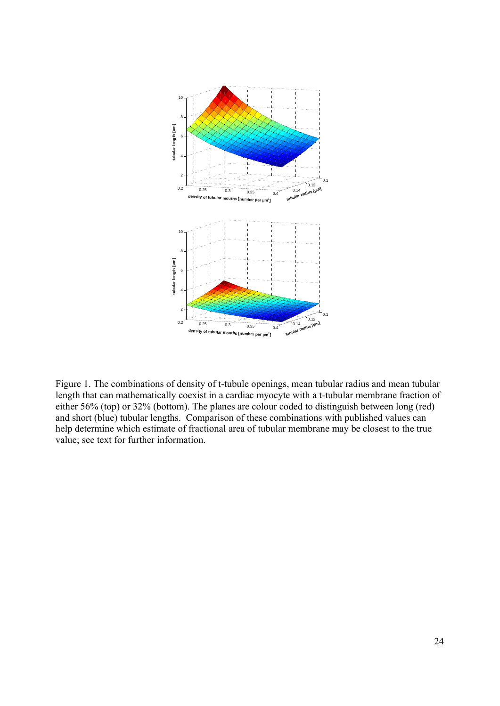

Figure 1. The combinations of density of t-tubule openings, mean tubular radius and mean tubular length that can mathematically coexist in a cardiac myocyte with a t-tubular membrane fraction of either 56% (top) or 32% (bottom). The planes are colour coded to distinguish between long (red) and short (blue) tubular lengths. Comparison of these combinations with published values can help determine which estimate of fractional area of tubular membrane may be closest to the true value; see text for further information.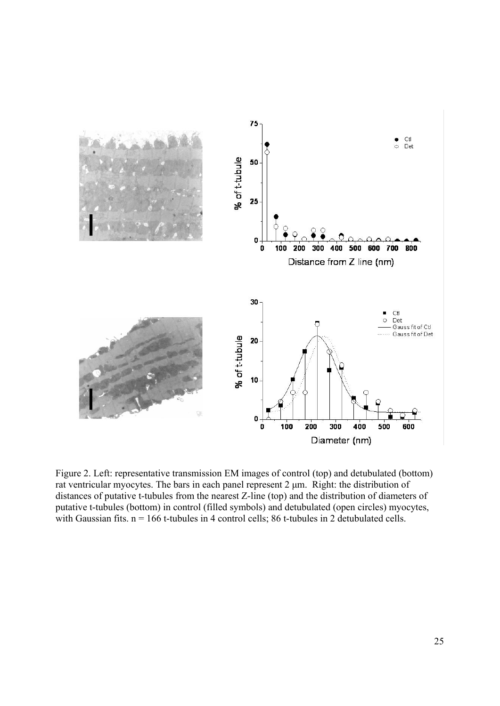

Figure 2. Left: representative transmission EM images of control (top) and detubulated (bottom) rat ventricular myocytes. The bars in each panel represent 2 μm. Right: the distribution of distances of putative t-tubules from the nearest Z-line (top) and the distribution of diameters of putative t-tubules (bottom) in control (filled symbols) and detubulated (open circles) myocytes, with Gaussian fits.  $n = 166$  t-tubules in 4 control cells; 86 t-tubules in 2 detubulated cells.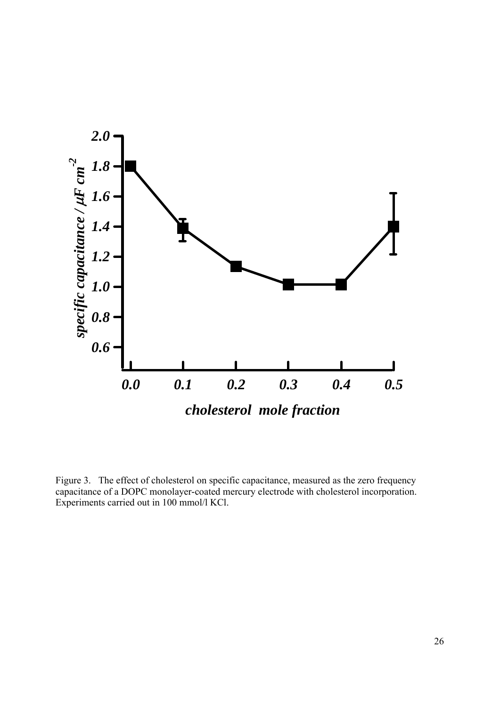

Figure 3. The effect of cholesterol on specific capacitance, measured as the zero frequency capacitance of a DOPC monolayer-coated mercury electrode with cholesterol incorporation. Experiments carried out in 100 mmol/l KCl.